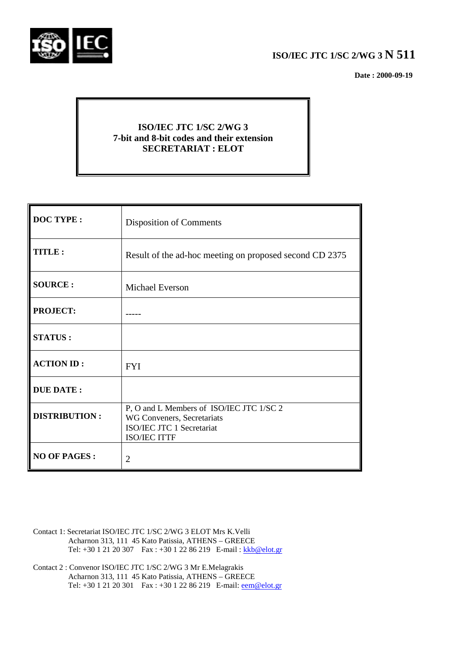

## **ISO/IEC JTC 1/SC 2/WG 3 N 511**

 **Date : 2000-09-19**

## **ISO/IEC JTC 1/SC 2/WG 3 7-bit and 8-bit codes and their extension SECRETARIAT : ELOT**

| <b>DOC TYPE:</b>     | <b>Disposition of Comments</b>                                                                                             |
|----------------------|----------------------------------------------------------------------------------------------------------------------------|
| TITLE:               | Result of the ad-hoc meeting on proposed second CD 2375                                                                    |
| <b>SOURCE:</b>       | Michael Everson                                                                                                            |
| <b>PROJECT:</b>      |                                                                                                                            |
| <b>STATUS:</b>       |                                                                                                                            |
| <b>ACTION ID:</b>    | <b>FYI</b>                                                                                                                 |
| <b>DUE DATE:</b>     |                                                                                                                            |
| <b>DISTRIBUTION:</b> | P, O and L Members of ISO/IEC JTC 1/SC 2<br>WG Conveners, Secretariats<br>ISO/IEC JTC 1 Secretariat<br><b>ISO/IEC ITTF</b> |
| <b>NO OF PAGES:</b>  | $\overline{2}$                                                                                                             |

- Contact 1: Secretariat ISO/IEC JTC 1/SC 2/WG 3 ELOT Mrs K.Velli Acharnon 313, 111 45 Kato Patissia, ATHENS – GREECE Tel: +30 1 21 20 307 Fax : +30 1 22 86 219 E-mail : kkb@elot.gr
- Contact 2 : Convenor ISO/IEC JTC 1/SC 2/WG 3 Mr E.Melagrakis Acharnon 313, 111 45 Kato Patissia, ATHENS – GREECE Tel: +30 1 21 20 301 Fax : +30 1 22 86 219 E-mail: <u>eem@elot.gr</u>